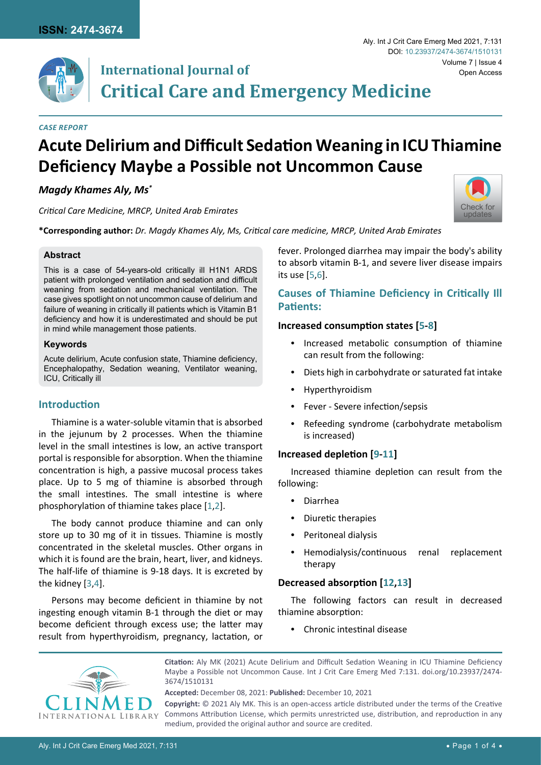

#### *Case Report*

# **Acute Delirium and Difficult Sedation Weaning in ICU Thiamine Deficiency Maybe a Possible not Uncommon Cause**

## *Magdy Khames Aly, Ms\**

*Critical Care Medicine, MRCP, United Arab Emirates*

**\*Corresponding author:** *Dr. Magdy Khames Aly, Ms, Critical care medicine, MRCP, United Arab Emirates*

#### **Abstract**

This is a case of 54-years-old critically ill H1N1 ARDS patient with prolonged ventilation and sedation and difficult weaning from sedation and mechanical ventilation. The case gives spotlight on not uncommon cause of delirium and failure of weaning in critically ill patients which is Vitamin B1 deficiency and how it is underestimated and should be put in mind while management those patients.

#### **Keywords**

Acute delirium, Acute confusion state, Thiamine deficiency, Encephalopathy, Sedation weaning, Ventilator weaning, ICU, Critically ill

# **Introduction**

Thiamine is a water-soluble vitamin that is absorbed in the jejunum by 2 processes. When the thiamine level in the small intestines is low, an active transport portal is responsible for absorption. When the thiamine concentration is high, a passive mucosal process takes place. Up to 5 mg of thiamine is absorbed through the small intestines. The small intestine is where phosphorylation of thiamine takes place [[1](#page-2-7)[,2](#page-2-8)].

The body cannot produce thiamine and can only store up to 30 mg of it in tissues. Thiamine is mostly concentrated in the skeletal muscles. Other organs in which it is found are the brain, heart, liver, and kidneys. The half-life of thiamine is 9-18 days. It is excreted by the kidney [\[3](#page-2-9),[4](#page-2-10)].

Persons may become deficient in thiamine by not ingesting enough vitamin B-1 through the diet or may become deficient through excess use; the latter may result from hyperthyroidism, pregnancy, lactation, or

fever. Prolonged diarrhea may impair the body's ability to absorb vitamin B-1, and severe liver disease impairs its use [[5](#page-2-0),[6](#page-2-1)].

# **Causes of Thiamine Deficiency in Critically Ill Patients:**

#### **Increased consumption states [[5-](#page-2-0)[8](#page-2-2)]**

- **•**  Increased metabolic consumption of thiamine can result from the following:
- **•**  Diets high in carbohydrate or saturated fat intake
- **•**  Hyperthyroidism
- **•**  Fever Severe infection/sepsis
- **•**  Refeeding syndrome (carbohydrate metabolism is increased)

#### **Increased depletion [[9-](#page-2-3)[11](#page-2-4)]**

Increased thiamine depletion can result from the following:

- **•**  Diarrhea
- **•**  Diuretic therapies
- **Peritoneal dialysis**
- **•**  Hemodialysis/continuous renal replacement therapy

## **Decreased absorption [[12](#page-2-5)[,13](#page-2-6)]**

The following factors can result in decreased thiamine absorption:

**•**  Chronic intestinal disease



**Citation:** Aly MK (2021) Acute Delirium and Difficult Sedation Weaning in ICU Thiamine Deficiency Maybe a Possible not Uncommon Cause. Int J Crit Care Emerg Med 7:131. [doi.org/10.23937/2474-](https://doi.org/10.23937/2474-3674/1510131) [3674/1510131](https://doi.org/10.23937/2474-3674/1510131)

**Accepted:** December 08, 2021: **Published:** December 10, 2021 **Copyright:** © 2021 Aly MK. This is an open-access article distributed under the terms of the Creative Commons Attribution License, which permits unrestricted use, distribution, and reproduction in any medium, provided the original author and source are credited.



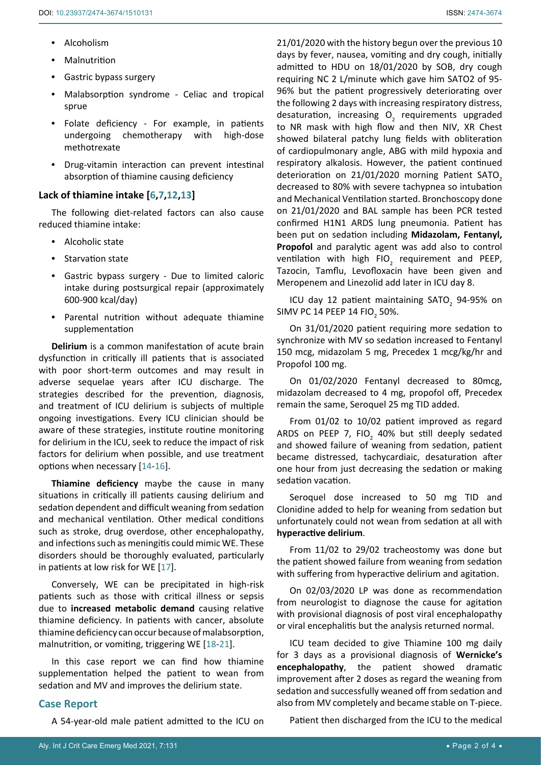- **•**  Alcoholism
- **•**  Malnutrition
- **•**  Gastric bypass surgery
- **•**  Malabsorption syndrome Celiac and tropical sprue
- **•**  Folate deficiency For example, in patients undergoing chemotherapy with high-dose methotrexate
- **•**  Drug-vitamin interaction can prevent intestinal absorption of thiamine causing deficiency

# **Lack of thiamine intake [[6](#page-2-1)[,7](#page-2-11),[12,](#page-2-5)[13](#page-2-6)]**

The following diet-related factors can also cause reduced thiamine intake:

- **•**  Alcoholic state
- **•**  Starvation state
- **•**  Gastric bypass surgery Due to limited caloric intake during postsurgical repair (approximately 600-900 kcal/day)
- **•**  Parental nutrition without adequate thiamine supplementation

**Delirium** is a common manifestation of acute brain dysfunction in critically ill patients that is associated with poor short-term outcomes and may result in adverse sequelae years after ICU discharge. The strategies described for the prevention, diagnosis, and treatment of ICU delirium is subjects of multiple ongoing investigations. Every ICU clinician should be aware of these strategies, institute routine monitoring for delirium in the ICU, seek to reduce the impact of risk factors for delirium when possible, and use treatment options when necessary [[14](#page-2-12)[-16\]](#page-2-13).

**Thiamine deficiency** maybe the cause in many situations in critically ill patients causing delirium and sedation dependent and difficult weaning from sedation and mechanical ventilation. Other medical conditions such as stroke, drug overdose, other encephalopathy, and infections such as meningitis could mimic WE. These disorders should be thoroughly evaluated, particularly in patients at low risk for WE [[17](#page-2-14)].

Conversely, WE can be precipitated in high-risk patients such as those with critical illness or sepsis due to **increased metabolic demand** causing relative thiamine deficiency. In patients with cancer, absolute thiamine deficiency can occur because of malabsorption, malnutrition, or vomiting, triggering WE [[18](#page-3-0)-[21](#page-3-1)].

In this case report we can find how thiamine supplementation helped the patient to wean from sedation and MV and improves the delirium state.

# **Case Report**

A 54-year-old male patient admitted to the ICU on

21/01/2020 with the history begun over the previous 10 days by fever, nausea, vomiting and dry cough, initially admitted to HDU on 18/01/2020 by SOB, dry cough requiring NC 2 L/minute which gave him SATO2 of 95- 96% but the patient progressively deteriorating over the following 2 days with increasing respiratory distress, desaturation, increasing  $O<sub>2</sub>$  requirements upgraded to NR mask with high flow and then NIV, XR Chest showed bilateral patchy lung fields with obliteration of cardiopulmonary angle, ABG with mild hypoxia and respiratory alkalosis. However, the patient continued deterioration on 21/01/2020 morning Patient SATO<sub>2</sub> decreased to 80% with severe tachypnea so intubation and Mechanical Ventilation started. Bronchoscopy done on 21/01/2020 and BAL sample has been PCR tested confirmed H1N1 ARDS lung pneumonia. Patient has been put on sedation including **Midazolam, Fentanyl, Propofol** and paralytic agent was add also to control ventilation with high  $FIO<sub>2</sub>$  requirement and PEEP, Tazocin, Tamflu, Levofloxacin have been given and Meropenem and Linezolid add later in ICU day 8.

ICU day 12 patient maintaining  $SATO<sub>2</sub>$  94-95% on SIMV PC 14 PEEP 14 FIO<sub>2</sub> 50%.

On 31/01/2020 patient requiring more sedation to synchronize with MV so sedation increased to Fentanyl 150 mcg, midazolam 5 mg, Precedex 1 mcg/kg/hr and Propofol 100 mg.

On 01/02/2020 Fentanyl decreased to 80mcg, midazolam decreased to 4 mg, propofol off, Precedex remain the same, Seroquel 25 mg TID added.

From 01/02 to 10/02 patient improved as regard ARDS on PEEP 7, FIO<sub>2</sub> 40% but still deeply sedated and showed failure of weaning from sedation, patient became distressed, tachycardiaic, desaturation after one hour from just decreasing the sedation or making sedation vacation.

Seroquel dose increased to 50 mg TID and Clonidine added to help for weaning from sedation but unfortunately could not wean from sedation at all with **hyperactive delirium**.

From 11/02 to 29/02 tracheostomy was done but the patient showed failure from weaning from sedation with suffering from hyperactive delirium and agitation.

On 02/03/2020 LP was done as recommendation from neurologist to diagnose the cause for agitation with provisional diagnosis of post viral encephalopathy or viral encephalitis but the analysis returned normal.

ICU team decided to give Thiamine 100 mg daily for 3 days as a provisional diagnosis of **Wernicke's encephalopathy**, the patient showed dramatic improvement after 2 doses as regard the weaning from sedation and successfully weaned off from sedation and also from MV completely and became stable on T-piece.

Patient then discharged from the ICU to the medical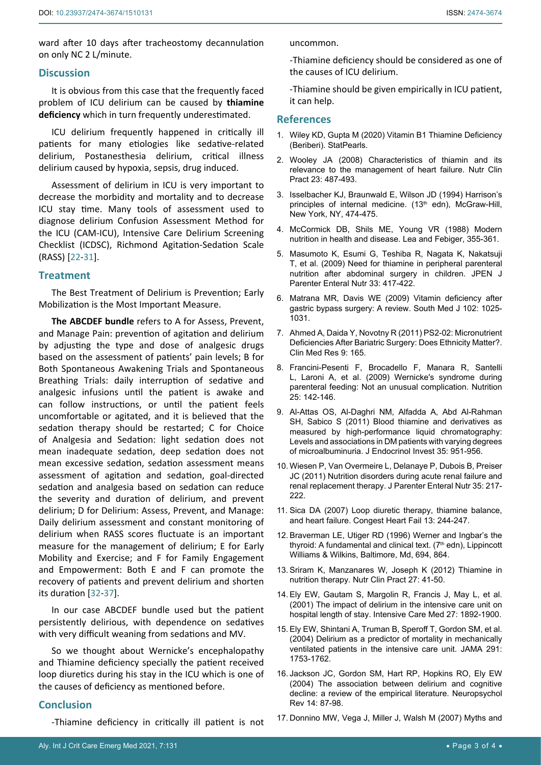ward after 10 days after tracheostomy decannulation on only NC 2 L/minute.

## **Discussion**

It is obvious from this case that the frequently faced problem of ICU delirium can be caused by **thiamine deficiency** which in turn frequently underestimated.

ICU delirium frequently happened in critically ill patients for many etiologies like sedative-related delirium, Postanesthesia delirium, critical illness delirium caused by hypoxia, sepsis, drug induced.

Assessment of delirium in ICU is very important to decrease the morbidity and mortality and to decrease ICU stay time. Many tools of assessment used to diagnose delirium Confusion Assessment Method for the ICU (CAM-ICU), Intensive Care Delirium Screening Checklist (ICDSC), Richmond Agitation-Sedation Scale (RASS) [[22](#page-3-2)[-31](#page-3-3)].

## **Treatment**

The Best Treatment of Delirium is Prevention; Early Mobilization is the Most Important Measure.

**The ABCDEF bundle** refers to A for Assess, Prevent, and Manage Pain: prevention of agitation and delirium by adjusting the type and dose of analgesic drugs based on the assessment of patients' pain levels; B for Both Spontaneous Awakening Trials and Spontaneous Breathing Trials: daily interruption of sedative and analgesic infusions until the patient is awake and can follow instructions, or until the patient feels uncomfortable or agitated, and it is believed that the sedation therapy should be restarted; C for Choice of Analgesia and Sedation: light sedation does not mean inadequate sedation, deep sedation does not mean excessive sedation, sedation assessment means assessment of agitation and sedation, goal-directed sedation and analgesia based on sedation can reduce the severity and duration of delirium, and prevent delirium; D for Delirium: Assess, Prevent, and Manage: Daily delirium assessment and constant monitoring of delirium when RASS scores fluctuate is an important measure for the management of delirium; E for Early Mobility and Exercise; and F for Family Engagement and Empowerment: Both E and F can promote the recovery of patients and prevent delirium and shorten its duration [[32](#page-3-4)[-37](#page-3-5)].

In our case ABCDEF bundle used but the patient persistently delirious, with dependence on sedatives with very difficult weaning from sedations and MV.

So we thought about Wernicke's encephalopathy and Thiamine deficiency specially the patient received loop diuretics during his stay in the ICU which is one of the causes of deficiency as mentioned before.

## **Conclusion**

-Thiamine deficiency in critically ill patient is not

uncommon.

-Thiamine deficiency should be considered as one of the causes of ICU delirium.

-Thiamine should be given empirically in ICU patient, it can help.

#### **References**

- <span id="page-2-7"></span>1. [Wiley KD, Gupta M \(2020\) Vitamin B1 Thiamine Deficiency](https://www.ncbi.nlm.nih.gov/books/NBK537204/)  [\(Beriberi\). StatPearls.](https://www.ncbi.nlm.nih.gov/books/NBK537204/)
- <span id="page-2-8"></span>2. [Wooley JA \(2008\) Characteristics of thiamin and its](https://pubmed.ncbi.nlm.nih.gov/18849553/)  [relevance to the management of heart failure. Nutr Clin](https://pubmed.ncbi.nlm.nih.gov/18849553/)  [Pract 23: 487-493.](https://pubmed.ncbi.nlm.nih.gov/18849553/)
- <span id="page-2-9"></span>3. Isselbacher KJ, Braunwald E, Wilson JD (1994) Harrison's principles of internal medicine. (13<sup>th</sup> edn), McGraw-Hill, New York, NY, 474-475.
- <span id="page-2-10"></span>4. McCormick DB, Shils ME, Young VR (1988) Modern nutrition in health and disease. Lea and Febiger, 355-361.
- <span id="page-2-0"></span>5. [Masumoto K, Esumi G, Teshiba R, Nagata K, Nakatsuji](https://pubmed.ncbi.nlm.nih.gov/19342609/)  [T, et al. \(2009\) Need for thiamine in peripheral parenteral](https://pubmed.ncbi.nlm.nih.gov/19342609/)  [nutrition after abdominal surgery in children. JPEN J](https://pubmed.ncbi.nlm.nih.gov/19342609/)  [Parenter Enteral Nutr 33: 417-422.](https://pubmed.ncbi.nlm.nih.gov/19342609/)
- <span id="page-2-1"></span>6. [Matrana MR, Davis WE \(2009\) Vitamin deficiency after](https://pubmed.ncbi.nlm.nih.gov/19738526/)  [gastric bypass surgery: A review. South Med J 102: 1025-](https://pubmed.ncbi.nlm.nih.gov/19738526/) [1031.](https://pubmed.ncbi.nlm.nih.gov/19738526/)
- <span id="page-2-11"></span>7. Ahmed A, Daida Y, Novotny R (2011) PS2-02: Micronutrient Deficiencies After Bariatric Surgery: Does Ethnicity Matter?. Clin Med Res 9: 165.
- <span id="page-2-2"></span>8. [Francini-Pesenti F, Brocadello F, Manara R, Santelli](https://pubmed.ncbi.nlm.nih.gov/18929463/)  [L, Laroni A, et al. \(2009\) Wernicke's syndrome during](https://pubmed.ncbi.nlm.nih.gov/18929463/)  [parenteral feeding: Not an unusual complication. Nutrition](https://pubmed.ncbi.nlm.nih.gov/18929463/)  [25: 142-146.](https://pubmed.ncbi.nlm.nih.gov/18929463/)
- <span id="page-2-3"></span>9. [Al-Attas OS, Al-Daghri NM, Alfadda A, Abd Al-Rahman](https://pubmed.ncbi.nlm.nih.gov/22107884/)  [SH, Sabico S \(2011\) Blood thiamine and derivatives as](https://pubmed.ncbi.nlm.nih.gov/22107884/)  [measured by high-performance liquid chromatography:](https://pubmed.ncbi.nlm.nih.gov/22107884/)  [Levels and associations in DM patients with varying degrees](https://pubmed.ncbi.nlm.nih.gov/22107884/)  [of microalbuminuria. J Endocrinol Invest 35: 951-956.](https://pubmed.ncbi.nlm.nih.gov/22107884/)
- 10. [Wiesen P, Van Overmeire L, Delanaye P, Dubois B, Preiser](https://pubmed.ncbi.nlm.nih.gov/21378251/)  [JC \(2011\) Nutrition disorders during acute renal failure and](https://pubmed.ncbi.nlm.nih.gov/21378251/)  [renal replacement therapy. J Parenter Enteral Nutr 35: 217-](https://pubmed.ncbi.nlm.nih.gov/21378251/) [222.](https://pubmed.ncbi.nlm.nih.gov/21378251/)
- <span id="page-2-4"></span>11. [Sica DA \(2007\) Loop diuretic therapy, thiamine balance,](https://pubmed.ncbi.nlm.nih.gov/17673878/)  [and heart failure. Congest Heart Fail 13: 244-247.](https://pubmed.ncbi.nlm.nih.gov/17673878/)
- <span id="page-2-5"></span>12. Braverman LE, Utiger RD (1996) Werner and Ingbar's the thyroid: A fundamental and clinical text.  $(7<sup>th</sup>$  edn), Lippincott Williams & Wilkins, Baltimore, Md, 694, 864.
- <span id="page-2-6"></span>13. [Sriram K, Manzanares W, Joseph K \(2012\) Thiamine in](https://pubmed.ncbi.nlm.nih.gov/22223666/)  [nutrition therapy. Nutr Clin Pract 27: 41-50.](https://pubmed.ncbi.nlm.nih.gov/22223666/)
- <span id="page-2-12"></span>14. [Ely EW, Gautam S, Margolin R, Francis J, May L, et al.](https://pubmed.ncbi.nlm.nih.gov/11797025/)  [\(2001\) The impact of delirium in the intensive care unit on](https://pubmed.ncbi.nlm.nih.gov/11797025/)  [hospital length of stay. Intensive Care Med 27: 1892-1900.](https://pubmed.ncbi.nlm.nih.gov/11797025/)
- 15. [Ely EW, Shintani A, Truman B, Speroff T, Gordon SM, et al.](https://pubmed.ncbi.nlm.nih.gov/15082703/)  [\(2004\) Delirium as a predictor of mortality in mechanically](https://pubmed.ncbi.nlm.nih.gov/15082703/)  [ventilated patients in the intensive care unit. JAMA 291:](https://pubmed.ncbi.nlm.nih.gov/15082703/)  [1753-1762.](https://pubmed.ncbi.nlm.nih.gov/15082703/)
- <span id="page-2-13"></span>16. [Jackson JC, Gordon SM, Hart RP, Hopkins RO, Ely EW](https://pubmed.ncbi.nlm.nih.gov/15264710/)  [\(2004\) The association between delirium and cognitive](https://pubmed.ncbi.nlm.nih.gov/15264710/)  [decline: a review of the empirical literature. Neuropsychol](https://pubmed.ncbi.nlm.nih.gov/15264710/)  [Rev 14: 87-98.](https://pubmed.ncbi.nlm.nih.gov/15264710/)
- <span id="page-2-14"></span>17. [Donnino MW, Vega J, Miller J, Walsh M \(2007\) Myths and](https://www.sciencedirect.com/science/article/abs/pii/S0196064407002077)